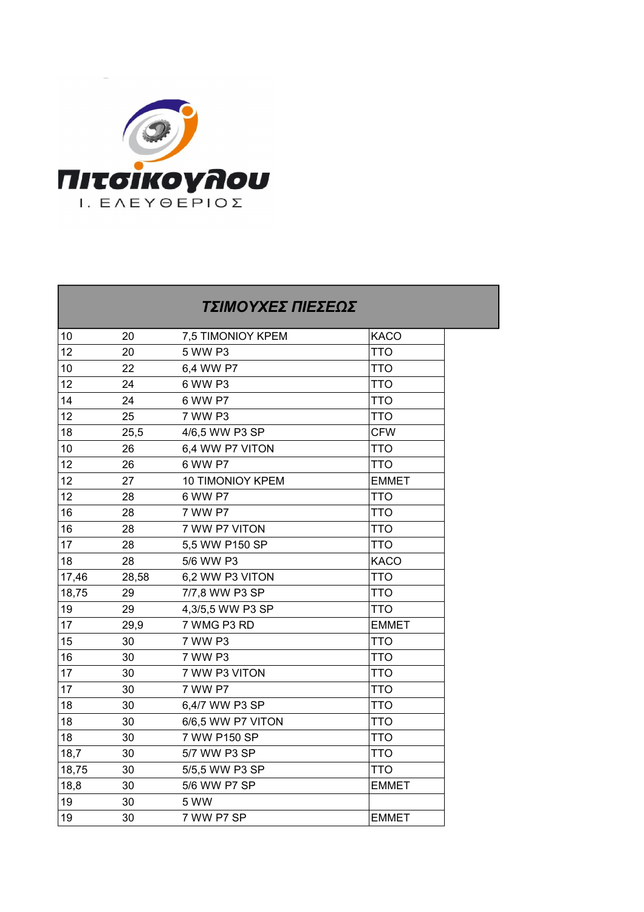

## *ΤΣΙΜΟΥΧΕΣ ΠΙΕΣΕΩΣ* 10 20 7,5 TIMONIOY KPEM KACO 12 20 5 WW P3 TTO 10 22 6.4 WW P7 TTO 12 24 6 WW P3 TTO 14 24 6 WW P7 TTO 12 25 7 WW P3 TTO 18 25.5 4/6.5 WW P3 SP CFW 10 26 6.4 WW P7 VITON TTO 12 26 6 WW P7 TTO 12 27 10 TIMONIOY KPEM EMMET  $12$  28 6 WW P7 TTO 16 28 7 WW P7 TTO 16 28 7 WW P7 VITON TTO 17 28 5.5 WW P150 SP TTO 18 28 5/6 WW P3 KACO 17,46 28,58 6,2 WW P3 VITON TTO  $18.75$  29 7/7.8 WW P3 SP TTO 19 29 4,3/5,5 WW P3 SP TTO 17 29.9 7 WMG P3 RD EMMET 15 30 7 WW P3 TTO 16 30 7 WW P3 TTO 17 30 7 WW P3 VITON TTO 17 30 7 WW P7 TTO 18 30 6.4/7 WW P3 SP TTO 18 30 6/6.5 WW P7 VITON TTO 18 30 7 WW P150 SP TTO 18.7 30 5/7 WW P3 SP TTO 18,75 30 5/5,5 WW P3 SP TTO 18.8 30 5/6 WW P7 SP EMMET 19 30 5 WW 19 30 7 WW P7 SP EMMET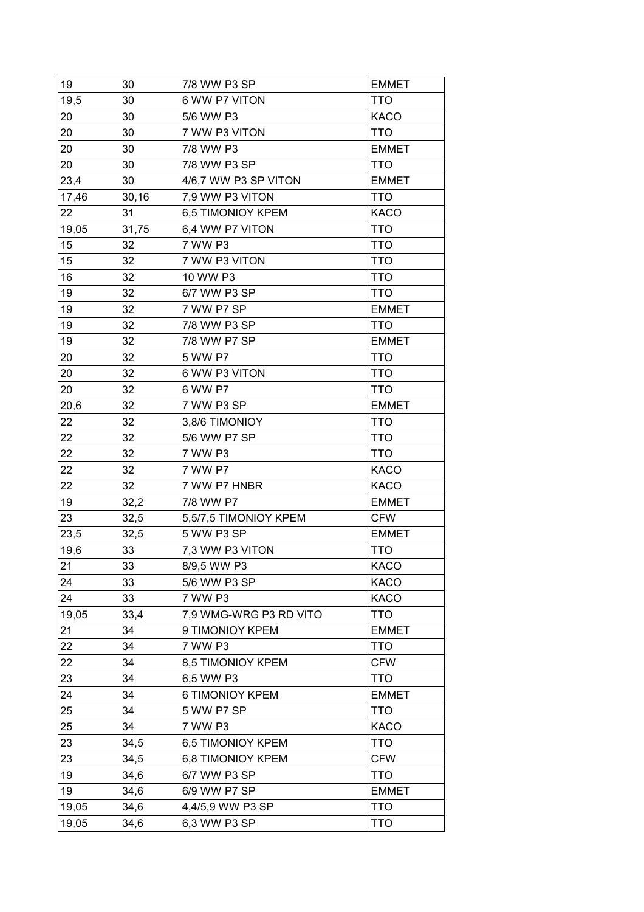| 19    | 30    | 7/8 WW P3 SP           | <b>EMMET</b> |
|-------|-------|------------------------|--------------|
| 19,5  | 30    | 6 WW P7 VITON          | TTO          |
| 20    | 30    | 5/6 WW P3              | <b>KACO</b>  |
| 20    | 30    | 7 WW P3 VITON          | <b>TTO</b>   |
| 20    | 30    | 7/8 WW P3              | <b>EMMET</b> |
| 20    | 30    | 7/8 WW P3 SP           | <b>TTO</b>   |
| 23,4  | 30    | 4/6,7 WW P3 SP VITON   | <b>EMMET</b> |
| 17,46 | 30,16 | 7,9 WW P3 VITON        | <b>TTO</b>   |
| 22    | 31    | 6,5 TIMONIOY KPEM      | <b>KACO</b>  |
| 19,05 | 31,75 | 6,4 WW P7 VITON        | TTO          |
| 15    | 32    | 7 WW P3                | <b>TTO</b>   |
| 15    | 32    | 7 WW P3 VITON          | <b>TTO</b>   |
| 16    | 32    | 10 WW P3               | TTO          |
| 19    | 32    | 6/7 WW P3 SP           | <b>TTO</b>   |
| 19    | 32    | 7 WW P7 SP             | <b>EMMET</b> |
| 19    | 32    | 7/8 WW P3 SP           | <b>TTO</b>   |
| 19    | 32    | 7/8 WW P7 SP           | <b>EMMET</b> |
| 20    | 32    | 5 WW P7                | <b>TTO</b>   |
| 20    | 32    | 6 WW P3 VITON          | TTO          |
| 20    | 32    | 6 WW P7                | <b>TTO</b>   |
| 20,6  | 32    | 7 WW P3 SP             | <b>EMMET</b> |
| 22    | 32    | 3,8/6 TIMONIOY         | <b>TTO</b>   |
| 22    | 32    | 5/6 WW P7 SP           | TTO          |
| 22    | 32    | 7 WW P3                | <b>TTO</b>   |
| 22    | 32    | 7 WW P7                | <b>KACO</b>  |
| 22    | 32    | 7 WW P7 HNBR           | <b>KACO</b>  |
| 19    | 32,2  | 7/8 WW P7              | <b>EMMET</b> |
| 23    | 32,5  | 5,5/7,5 TIMONIOY KPEM  | <b>CFW</b>   |
| 23,5  | 32,5  | 5 WW P3 SP             | <b>EMMET</b> |
| 19,6  | 33    | 7,3 WW P3 VITON        | <b>TTO</b>   |
| 21    | 33    | 8/9,5 WW P3            | KACO         |
| 24    | 33    | 5/6 WW P3 SP           | KACO         |
| 24    | 33    | 7 WW P3                | KACO         |
| 19,05 | 33,4  | 7,9 WMG-WRG P3 RD VITO | <b>TTO</b>   |
| 21    | 34    | 9 TIMONIOY KPEM        | <b>EMMET</b> |
| 22    | 34    | 7 WW P3                | <b>TTO</b>   |
| 22    | 34    | 8,5 TIMONIOY KPEM      | <b>CFW</b>   |
| 23    | 34    | 6,5 WW P3              | <b>TTO</b>   |
| 24    | 34    | 6 TIMONIOY KPEM        | <b>EMMET</b> |
| 25    | 34    | 5 WW P7 SP             | <b>TTO</b>   |
| 25    | 34    | 7 WW P3                | <b>KACO</b>  |
| 23    | 34,5  | 6,5 TIMONIOY KPEM      | <b>TTO</b>   |
| 23    | 34,5  | 6,8 TIMONIOY KPEM      | <b>CFW</b>   |
| 19    | 34,6  | 6/7 WW P3 SP           | TTO          |
| 19    | 34,6  | 6/9 WW P7 SP           | <b>EMMET</b> |
| 19,05 | 34,6  | 4,4/5,9 WW P3 SP       | <b>TTO</b>   |
| 19,05 | 34,6  | 6,3 WW P3 SP           | <b>TTO</b>   |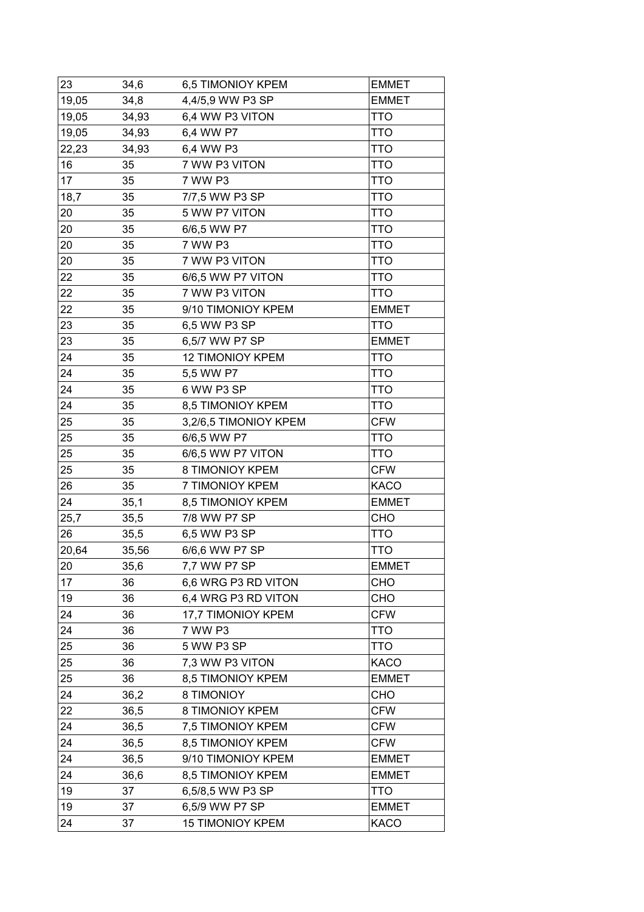| 23    | 34,6  | 6,5 TIMONIOY KPEM       | <b>EMMET</b> |
|-------|-------|-------------------------|--------------|
| 19,05 | 34,8  | 4,4/5,9 WW P3 SP        | <b>EMMET</b> |
| 19,05 | 34,93 | 6,4 WW P3 VITON         | <b>TTO</b>   |
| 19,05 | 34,93 | 6,4 WW P7               | TTO          |
| 22,23 | 34,93 | 6,4 WW P3               | <b>TTO</b>   |
| 16    | 35    | 7 WW P3 VITON           | TTO          |
| 17    | 35    | 7 WW P3                 | <b>TTO</b>   |
| 18,7  | 35    | 7/7,5 WW P3 SP          | TTO          |
| 20    | 35    | 5 WW P7 VITON           | <b>TTO</b>   |
| 20    | 35    | 6/6,5 WW P7             | TTO          |
| 20    | 35    | 7 WW P3                 | TTO          |
| 20    | 35    | 7 WW P3 VITON           | <b>TTO</b>   |
| 22    | 35    | 6/6,5 WW P7 VITON       | <b>TTO</b>   |
| 22    | 35    | 7 WW P3 VITON           | <b>TTO</b>   |
| 22    | 35    | 9/10 TIMONIOY KPEM      | <b>EMMET</b> |
| 23    | 35    | 6,5 WW P3 SP            | <b>TTO</b>   |
| 23    | 35    | 6,5/7 WW P7 SP          | <b>EMMET</b> |
| 24    | 35    | <b>12 TIMONIOY KPEM</b> | <b>TTO</b>   |
| 24    | 35    | 5,5 WW P7               | TTO          |
| 24    | 35    | 6 WW P3 SP              | <b>TTO</b>   |
| 24    | 35    | 8,5 TIMONIOY KPEM       | TTO          |
| 25    | 35    | 3,2/6,5 TIMONIOY KPEM   | <b>CFW</b>   |
| 25    | 35    | 6/6,5 WW P7             | TTO          |
| 25    | 35    | 6/6,5 WW P7 VITON       | TTO          |
| 25    | 35    | 8 TIMONIOY KPEM         | <b>CFW</b>   |
| 26    | 35    | 7 TIMONIOY KPEM         | <b>KACO</b>  |
| 24    | 35,1  | 8,5 TIMONIOY KPEM       | <b>EMMET</b> |
| 25,7  | 35,5  | 7/8 WW P7 SP            | <b>CHO</b>   |
| 26    | 35,5  | 6,5 WW P3 SP            | <b>TTO</b>   |
| 20,64 | 35,56 | 6/6,6 WW P7 SP          | <b>TTO</b>   |
| 20    | 35,6  | 7,7 WW P7 SP            | <b>EMMET</b> |
| 17    | 36    | 6,6 WRG P3 RD VITON     | <b>CHO</b>   |
| 19    | 36    | 6,4 WRG P3 RD VITON     | CHO          |
| 24    | 36    | 17,7 TIMONIOY KPEM      | <b>CFW</b>   |
| 24    | 36    | 7 WW P3                 | <b>TTO</b>   |
| 25    | 36    | 5 WW P3 SP              | <b>TTO</b>   |
| 25    | 36    | 7,3 WW P3 VITON         | <b>KACO</b>  |
| 25    | 36    | 8,5 TIMONIOY KPEM       | <b>EMMET</b> |
| 24    | 36,2  | 8 TIMONIOY              | CHO          |
| 22    | 36,5  | 8 TIMONIOY KPEM         | <b>CFW</b>   |
| 24    | 36,5  | 7,5 TIMONIOY KPEM       | <b>CFW</b>   |
| 24    | 36,5  | 8,5 TIMONIOY KPEM       | <b>CFW</b>   |
| 24    | 36,5  | 9/10 TIMONIOY KPEM      | <b>EMMET</b> |
| 24    | 36,6  | 8,5 TIMONIOY KPEM       | <b>EMMET</b> |
| 19    | 37    | 6,5/8,5 WW P3 SP        | <b>TTO</b>   |
| 19    | 37    | 6,5/9 WW P7 SP          | <b>EMMET</b> |
| 24    | 37    | <b>15 TIMONIOY KPEM</b> | <b>KACO</b>  |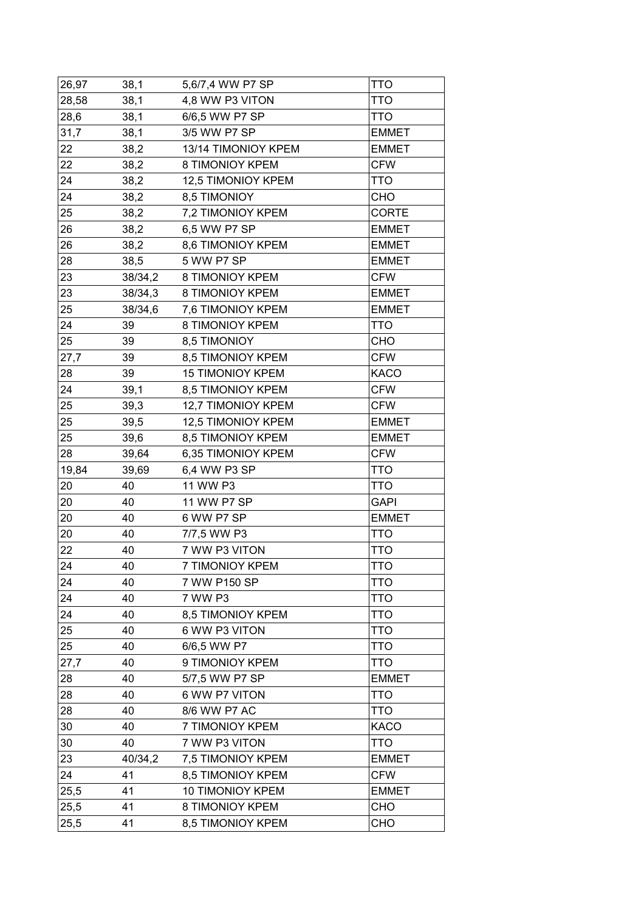| 26,97 | 38,1    | 5,6/7,4 WW P7 SP        | <b>TTO</b>   |
|-------|---------|-------------------------|--------------|
| 28,58 | 38,1    | 4,8 WW P3 VITON         | <b>TTO</b>   |
| 28,6  | 38,1    | 6/6,5 WW P7 SP          | <b>TTO</b>   |
| 31,7  | 38,1    | 3/5 WW P7 SP            | <b>EMMET</b> |
| 22    | 38,2    | 13/14 TIMONIOY KPEM     | <b>EMMET</b> |
| 22    | 38,2    | 8 TIMONIOY KPEM         | <b>CFW</b>   |
| 24    | 38,2    | 12,5 TIMONIOY KPEM      | <b>TTO</b>   |
| 24    | 38,2    | 8,5 TIMONIOY            | <b>CHO</b>   |
| 25    | 38,2    | 7,2 TIMONIOY KPEM       | <b>CORTE</b> |
| 26    | 38,2    | 6,5 WW P7 SP            | <b>EMMET</b> |
| 26    | 38,2    | 8,6 TIMONIOY KPEM       | <b>EMMET</b> |
| 28    | 38,5    | 5 WW P7 SP              | <b>EMMET</b> |
| 23    | 38/34,2 | 8 TIMONIOY KPEM         | <b>CFW</b>   |
| 23    | 38/34,3 | 8 TIMONIOY KPEM         | <b>EMMET</b> |
| 25    | 38/34,6 | 7,6 TIMONIOY KPEM       | <b>EMMET</b> |
| 24    | 39      | 8 TIMONIOY KPEM         | <b>TTO</b>   |
| 25    | 39      | 8,5 TIMONIOY            | <b>CHO</b>   |
| 27,7  | 39      | 8,5 TIMONIOY KPEM       | <b>CFW</b>   |
| 28    | 39      | <b>15 TIMONIOY KPEM</b> | <b>KACO</b>  |
| 24    | 39,1    | 8,5 TIMONIOY KPEM       | <b>CFW</b>   |
| 25    | 39,3    | 12,7 TIMONIOY KPEM      | <b>CFW</b>   |
| 25    | 39,5    | 12,5 TIMONIOY KPEM      | <b>EMMET</b> |
| 25    | 39,6    | 8,5 TIMONIOY KPEM       | <b>EMMET</b> |
| 28    | 39,64   | 6,35 TIMONIOY KPEM      | <b>CFW</b>   |
| 19,84 | 39,69   | 6,4 WW P3 SP            | <b>TTO</b>   |
| 20    | 40      | 11 WW P3                | <b>TTO</b>   |
| 20    | 40      | 11 WW P7 SP             | <b>GAPI</b>  |
| 20    | 40      | 6 WW P7 SP              | <b>EMMET</b> |
| 20    | 40      | 7/7,5 WW P3             | <b>TTO</b>   |
| 22    | 40      | 7 WW P3 VITON           | <b>TTO</b>   |
| 24    | 40      | 7 TIMONIOY KPEM         | <b>TTO</b>   |
| 24    | 40      | 7 WW P150 SP            | <b>TTO</b>   |
| 24    | 40      | 7 WW P3                 | <b>TTO</b>   |
| 24    | 40      | 8,5 TIMONIOY KPEM       | <b>TTO</b>   |
| 25    | 40      | 6 WW P3 VITON           | <b>TTO</b>   |
| 25    | 40      | 6/6,5 WW P7             | <b>TTO</b>   |
| 27,7  | 40      | 9 TIMONIOY KPEM         | <b>TTO</b>   |
| 28    | 40      | 5/7,5 WW P7 SP          | <b>EMMET</b> |
| 28    | 40      | 6 WW P7 VITON           | <b>TTO</b>   |
| 28    | 40      | 8/6 WW P7 AC            | <b>TTO</b>   |
| 30    | 40      | 7 TIMONIOY KPEM         | <b>KACO</b>  |
| 30    | 40      | 7 WW P3 VITON           | <b>TTO</b>   |
| 23    | 40/34,2 | 7,5 TIMONIOY KPEM       | <b>EMMET</b> |
| 24    | 41      | 8,5 TIMONIOY KPEM       | <b>CFW</b>   |
| 25,5  | 41      | 10 TIMONIOY KPEM        | <b>EMMET</b> |
| 25,5  | 41      | 8 TIMONIOY KPEM         | CHO          |
|       |         |                         |              |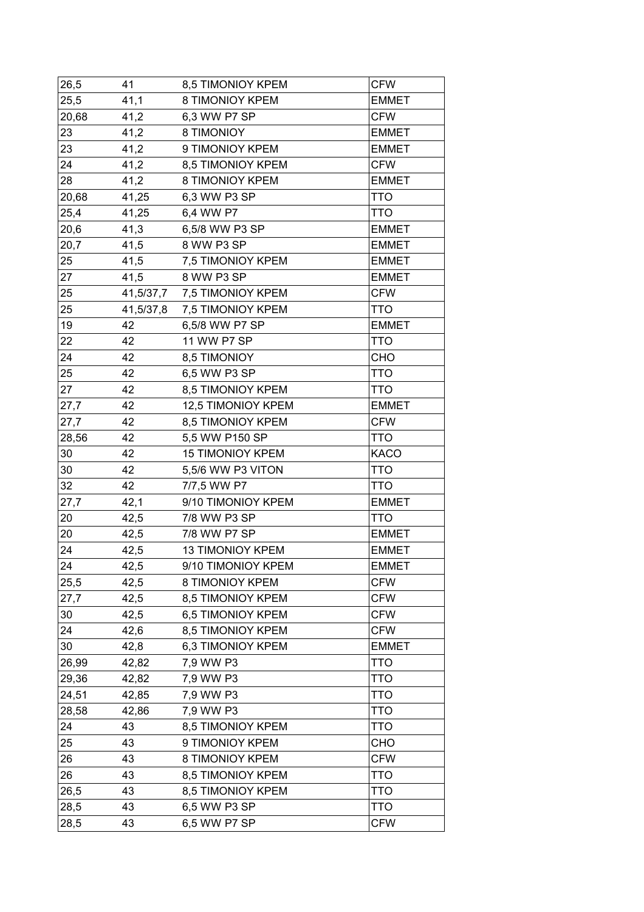| 26,5  | 41        | 8,5 TIMONIOY KPEM       | <b>CFW</b>   |
|-------|-----------|-------------------------|--------------|
| 25,5  | 41,1      | 8 TIMONIOY KPEM         | <b>EMMET</b> |
| 20,68 | 41,2      | 6,3 WW P7 SP            | <b>CFW</b>   |
| 23    | 41,2      | 8 TIMONIOY              | <b>EMMET</b> |
| 23    | 41,2      | 9 TIMONIOY KPEM         | <b>EMMET</b> |
| 24    | 41,2      | 8,5 TIMONIOY KPEM       | <b>CFW</b>   |
| 28    | 41,2      | 8 TIMONIOY KPEM         | <b>EMMET</b> |
| 20,68 | 41,25     | 6,3 WW P3 SP            | <b>TTO</b>   |
| 25,4  | 41,25     | 6,4 WW P7               | <b>TTO</b>   |
| 20,6  | 41,3      | 6,5/8 WW P3 SP          | <b>EMMET</b> |
| 20,7  | 41,5      | 8 WW P3 SP              | <b>EMMET</b> |
| 25    | 41,5      | 7,5 TIMONIOY KPEM       | <b>EMMET</b> |
| 27    | 41,5      | 8 WW P3 SP              | <b>EMMET</b> |
| 25    | 41,5/37,7 | 7,5 TIMONIOY KPEM       | <b>CFW</b>   |
| 25    | 41,5/37,8 | 7,5 TIMONIOY KPEM       | <b>TTO</b>   |
| 19    | 42        | 6,5/8 WW P7 SP          | <b>EMMET</b> |
| 22    | 42        | 11 WW P7 SP             | <b>TTO</b>   |
| 24    | 42        | 8,5 TIMONIOY            | CHO          |
| 25    | 42        | 6,5 WW P3 SP            | TTO          |
| 27    | 42        | 8,5 TIMONIOY KPEM       | <b>TTO</b>   |
| 27,7  | 42        | 12,5 TIMONIOY KPEM      | <b>EMMET</b> |
| 27,7  | 42        | 8,5 TIMONIOY KPEM       | <b>CFW</b>   |
| 28,56 | 42        | 5,5 WW P150 SP          | TTO          |
| 30    | 42        | <b>15 TIMONIOY KPEM</b> | <b>KACO</b>  |
| 30    | 42        | 5,5/6 WW P3 VITON       | <b>TTO</b>   |
| 32    | 42        | 7/7,5 WW P7             | <b>TTO</b>   |
| 27,7  | 42,1      | 9/10 TIMONIOY KPEM      | <b>EMMET</b> |
| 20    | 42,5      | 7/8 WW P3 SP            | TTO          |
| 20    | 42,5      | 7/8 WW P7 SP            | <b>EMMET</b> |
| 24    | 42,5      | <b>13 TIMONIOY KPEM</b> | <b>EMMET</b> |
| 24    | 42,5      | 9/10 TIMONIOY KPEM      | <b>EMMET</b> |
| 25,5  | 42,5      | 8 TIMONIOY KPEM         | <b>CFW</b>   |
| 27,7  | 42,5      | 8,5 TIMONIOY KPEM       | <b>CFW</b>   |
| 30    | 42,5      | 6,5 TIMONIOY KPEM       | <b>CFW</b>   |
| 24    | 42,6      | 8,5 TIMONIOY KPEM       | <b>CFW</b>   |
| 30    | 42,8      | 6,3 TIMONIOY KPEM       | <b>EMMET</b> |
| 26,99 | 42,82     | 7,9 WW P3               | <b>TTO</b>   |
| 29,36 | 42,82     | 7,9 WW P3               | TTO          |
| 24,51 | 42,85     | 7,9 WW P3               | <b>TTO</b>   |
| 28,58 | 42,86     | 7,9 WW P3               | <b>TTO</b>   |
| 24    | 43        | 8,5 TIMONIOY KPEM       | TTO          |
| 25    | 43        | 9 TIMONIOY KPEM         | CHO          |
| 26    | 43        | 8 TIMONIOY KPEM         | <b>CFW</b>   |
| 26    | 43        | 8,5 TIMONIOY KPEM       | <b>TTO</b>   |
| 26,5  | 43        | 8,5 TIMONIOY KPEM       | <b>TTO</b>   |
| 28,5  | 43        | 6,5 WW P3 SP            | TTO          |
| 28,5  | 43        | 6,5 WW P7 SP            | <b>CFW</b>   |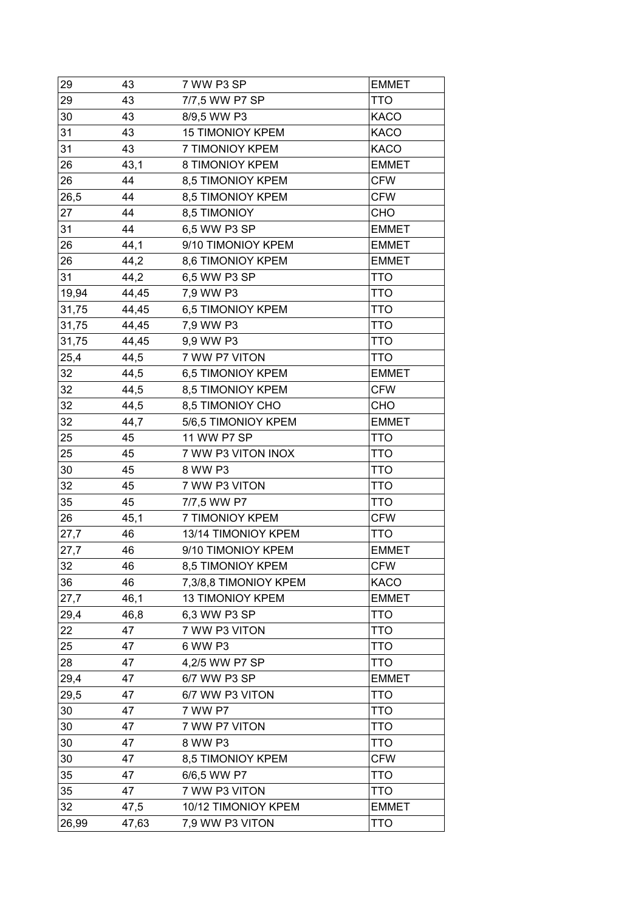| 29    | 43    | 7 WW P3 SP              | <b>EMMET</b> |
|-------|-------|-------------------------|--------------|
| 29    | 43    | 7/7,5 WW P7 SP          | TTO          |
| 30    | 43    | 8/9,5 WW P3             | <b>KACO</b>  |
| 31    | 43    | <b>15 TIMONIOY KPEM</b> | <b>KACO</b>  |
| 31    | 43    | 7 TIMONIOY KPEM         | <b>KACO</b>  |
| 26    | 43,1  | 8 TIMONIOY KPEM         | <b>EMMET</b> |
| 26    | 44    | 8,5 TIMONIOY KPEM       | <b>CFW</b>   |
| 26,5  | 44    | 8,5 TIMONIOY KPEM       | <b>CFW</b>   |
| 27    | 44    | 8,5 TIMONIOY            | CHO          |
| 31    | 44    | 6,5 WW P3 SP            | <b>EMMET</b> |
| 26    | 44,1  | 9/10 TIMONIOY KPEM      | <b>EMMET</b> |
| 26    | 44,2  | 8,6 TIMONIOY KPEM       | <b>EMMET</b> |
| 31    | 44,2  | 6,5 WW P3 SP            | <b>TTO</b>   |
| 19,94 | 44,45 | 7,9 WW P3               | <b>TTO</b>   |
| 31,75 | 44,45 | 6,5 TIMONIOY KPEM       | TTO          |
| 31,75 | 44,45 | 7,9 WW P3               | <b>TTO</b>   |
| 31,75 | 44,45 | 9,9 WW P3               | <b>TTO</b>   |
| 25,4  | 44,5  | 7 WW P7 VITON           | <b>TTO</b>   |
| 32    | 44,5  | 6,5 TIMONIOY KPEM       | <b>EMMET</b> |
| 32    | 44,5  | 8,5 TIMONIOY KPEM       | <b>CFW</b>   |
| 32    | 44,5  | 8,5 TIMONIOY CHO        | CHO          |
| 32    | 44,7  | 5/6,5 TIMONIOY KPEM     | <b>EMMET</b> |
| 25    | 45    | 11 WW P7 SP             | TTO          |
| 25    | 45    | 7 WW P3 VITON INOX      | <b>TTO</b>   |
| 30    | 45    | 8 WW P3                 | <b>TTO</b>   |
| 32    | 45    | 7 WW P3 VITON           | <b>TTO</b>   |
| 35    | 45    | 7/7,5 WW P7             | TTO          |
| 26    | 45,1  | 7 TIMONIOY KPEM         | <b>CFW</b>   |
| 27,7  | 46    | 13/14 TIMONIOY KPEM     | <b>TTO</b>   |
| 27,7  | 46    | 9/10 TIMONIOY KPEM      | <b>EMMET</b> |
| 32    | 46    | 8,5 TIMONIOY KPEM       | <b>CFW</b>   |
| 36    | 46    | 7,3/8,8 TIMONIOY KPEM   | <b>KACO</b>  |
| 27,7  | 46,1  | <b>13 TIMONIOY KPEM</b> | <b>EMMET</b> |
| 29,4  | 46,8  | 6,3 WW P3 SP            | <b>TTO</b>   |
| 22    | 47    | 7 WW P3 VITON           | <b>TTO</b>   |
| 25    | 47    | 6 WW P3                 | <b>TTO</b>   |
| 28    | 47    | 4,2/5 WW P7 SP          | <b>TTO</b>   |
| 29,4  | 47    | 6/7 WW P3 SP            | <b>EMMET</b> |
| 29,5  | 47    | 6/7 WW P3 VITON         | <b>TTO</b>   |
| 30    | 47    | 7 WW P7                 | TTO          |
| 30    | 47    | 7 WW P7 VITON           | <b>TTO</b>   |
| 30    | 47    | 8 WW P3                 | <b>TTO</b>   |
| 30    | 47    | 8,5 TIMONIOY KPEM       | <b>CFW</b>   |
| 35    | 47    | 6/6,5 WW P7             | <b>TTO</b>   |
| 35    | 47    | 7 WW P3 VITON           | <b>TTO</b>   |
| 32    | 47,5  | 10/12 TIMONIOY KPEM     | <b>EMMET</b> |
| 26,99 | 47,63 | 7,9 WW P3 VITON         | <b>TTO</b>   |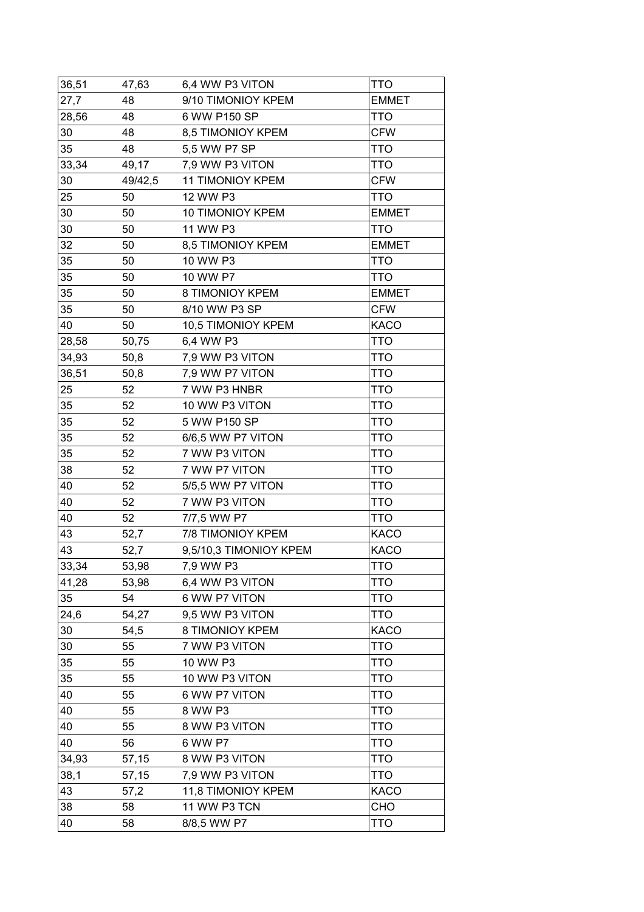| 36,51 | 47,63   | 6,4 WW P3 VITON         | TTO          |
|-------|---------|-------------------------|--------------|
| 27,7  | 48      | 9/10 TIMONIOY KPEM      | <b>EMMET</b> |
| 28,56 | 48      | 6 WW P150 SP            | <b>TTO</b>   |
| 30    | 48      | 8,5 TIMONIOY KPEM       | <b>CFW</b>   |
| 35    | 48      | 5,5 WW P7 SP            | <b>TTO</b>   |
| 33,34 | 49,17   | 7,9 WW P3 VITON         | <b>TTO</b>   |
| 30    | 49/42,5 | <b>11 TIMONIOY KPEM</b> | <b>CFW</b>   |
| 25    | 50      | 12 WW P3                | <b>TTO</b>   |
| 30    | 50      | 10 TIMONIOY KPEM        | <b>EMMET</b> |
| 30    | 50      | 11 WW P3                | <b>TTO</b>   |
| 32    | 50      | 8,5 TIMONIOY KPEM       | <b>EMMET</b> |
| 35    | 50      | 10 WW P3                | <b>TTO</b>   |
| 35    | 50      | 10 WW P7                | TTO          |
| 35    | 50      | 8 TIMONIOY KPEM         | <b>EMMET</b> |
| 35    | 50      | 8/10 WW P3 SP           | <b>CFW</b>   |
| 40    | 50      | 10,5 TIMONIOY KPEM      | <b>KACO</b>  |
| 28,58 | 50,75   | 6,4 WW P3               | TTO          |
| 34,93 | 50,8    | 7,9 WW P3 VITON         | TTO          |
| 36,51 | 50,8    | 7,9 WW P7 VITON         | <b>TTO</b>   |
| 25    | 52      | 7 WW P3 HNBR            | <b>TTO</b>   |
| 35    | 52      | 10 WW P3 VITON          | <b>TTO</b>   |
| 35    | 52      | 5 WW P150 SP            | <b>TTO</b>   |
| 35    | 52      | 6/6,5 WW P7 VITON       | TTO          |
| 35    | 52      | 7 WW P3 VITON           | <b>TTO</b>   |
| 38    | 52      | 7 WW P7 VITON           | <b>TTO</b>   |
| 40    | 52      | 5/5,5 WW P7 VITON       | <b>TTO</b>   |
| 40    | 52      | 7 WW P3 VITON           | TTO          |
| 40    | 52      | 7/7,5 WW P7             | <b>TTO</b>   |
| 43    | 52,7    | 7/8 TIMONIOY KPEM       | <b>KACO</b>  |
| 43    | 52,7    | 9,5/10,3 TIMONIOY KPEM  | <b>KACO</b>  |
| 33,34 | 53,98   | 7,9 WW P3               | <b>TTO</b>   |
| 41,28 | 53,98   | 6,4 WW P3 VITON         | TTO          |
| 35    | 54      | 6 WW P7 VITON           | TTO          |
| 24,6  | 54,27   | 9,5 WW P3 VITON         | TTO          |
| 30    | 54,5    | 8 TIMONIOY KPEM         | <b>KACO</b>  |
| 30    | 55      | 7 WW P3 VITON           | TTO          |
| 35    | 55      | 10 WW P3                | <b>TTO</b>   |
| 35    | 55      | 10 WW P3 VITON          | TTO          |
| 40    | 55      | 6 WW P7 VITON           | <b>TTO</b>   |
| 40    | 55      | 8 WW P3                 | <b>TTO</b>   |
| 40    | 55      | 8 WW P3 VITON           | <b>TTO</b>   |
| 40    | 56      | 6 WW P7                 | TTO          |
| 34,93 | 57,15   | 8 WW P3 VITON           | <b>TTO</b>   |
| 38,1  | 57,15   | 7,9 WW P3 VITON         | <b>TTO</b>   |
| 43    | 57,2    | 11,8 TIMONIOY KPEM      | <b>KACO</b>  |
| 38    | 58      | 11 WW P3 TCN            | <b>CHO</b>   |
| 40    | 58      | 8/8,5 WW P7             | <b>TTO</b>   |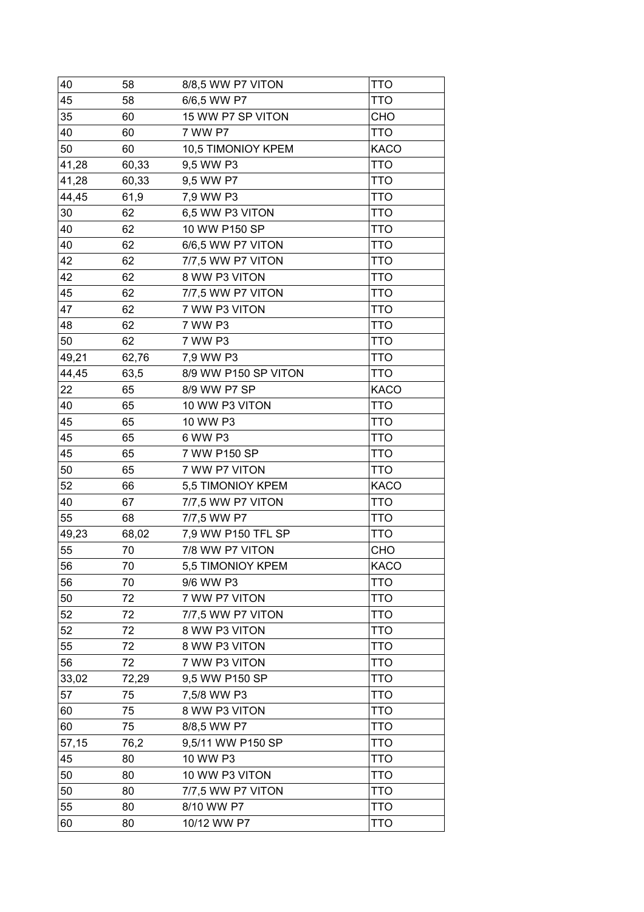| 40    | 58    | 8/8,5 WW P7 VITON    | TTO         |
|-------|-------|----------------------|-------------|
| 45    | 58    | 6/6,5 WW P7          | TTO         |
| 35    | 60    | 15 WW P7 SP VITON    | CHO         |
| 40    | 60    | 7 WW P7              | <b>TTO</b>  |
| 50    | 60    | 10,5 TIMONIOY KPEM   | <b>KACO</b> |
| 41,28 | 60,33 | 9,5 WW P3            | <b>TTO</b>  |
| 41,28 | 60,33 | 9,5 WW P7            | <b>TTO</b>  |
| 44,45 | 61,9  | 7,9 WW P3            | <b>TTO</b>  |
| 30    | 62    | 6,5 WW P3 VITON      | <b>TTO</b>  |
| 40    | 62    | 10 WW P150 SP        | TTO         |
| 40    | 62    | 6/6,5 WW P7 VITON    | <b>TTO</b>  |
| 42    | 62    | 7/7,5 WW P7 VITON    | <b>TTO</b>  |
| 42    | 62    | 8 WW P3 VITON        | TTO         |
| 45    | 62    | 7/7,5 WW P7 VITON    | <b>TTO</b>  |
| 47    | 62    | 7 WW P3 VITON        | TTO         |
| 48    | 62    | 7 WW P3              | TTO         |
| 50    | 62    | 7 WW P3              | TTO         |
| 49,21 | 62,76 | 7,9 WW P3            | TTO         |
| 44,45 | 63,5  | 8/9 WW P150 SP VITON | TTO         |
| 22    | 65    | 8/9 WW P7 SP         | <b>KACO</b> |
| 40    | 65    | 10 WW P3 VITON       | <b>TTO</b>  |
| 45    | 65    | 10 WW P3             | <b>TTO</b>  |
| 45    | 65    | 6 WW P3              | <b>TTO</b>  |
| 45    | 65    | 7 WW P150 SP         | <b>TTO</b>  |
| 50    | 65    | 7 WW P7 VITON        | <b>TTO</b>  |
| 52    | 66    | 5,5 TIMONIOY KPEM    | <b>KACO</b> |
| 40    | 67    | 7/7,5 WW P7 VITON    | TTO         |
| 55    | 68    | 7/7,5 WW P7          | <b>TTO</b>  |
| 49,23 | 68,02 | 7,9 WW P150 TFL SP   | <b>TTO</b>  |
| 55    | 70    | 7/8 WW P7 VITON      | CHO         |
| 56    | 70    | 5,5 TIMONIOY KPEM    | KACO        |
| 56    | 70    | 9/6 WW P3            | <b>TTO</b>  |
| 50    | 72    | 7 WW P7 VITON        | TTO         |
| 52    | 72    | 7/7,5 WW P7 VITON    | TTO         |
| 52    | 72    | 8 WW P3 VITON        | <b>TTO</b>  |
| 55    | 72    | 8 WW P3 VITON        | <b>TTO</b>  |
| 56    | 72    | 7 WW P3 VITON        | <b>TTO</b>  |
| 33,02 | 72,29 | 9,5 WW P150 SP       | <b>TTO</b>  |
| 57    | 75    | 7,5/8 WW P3          | <b>TTO</b>  |
| 60    | 75    | 8 WW P3 VITON        | <b>TTO</b>  |
| 60    | 75    | 8/8,5 WW P7          | <b>TTO</b>  |
| 57,15 | 76,2  | 9,5/11 WW P150 SP    | TTO         |
| 45    | 80    | 10 WW P3             | <b>TTO</b>  |
| 50    | 80    | 10 WW P3 VITON       | <b>TTO</b>  |
| 50    | 80    | 7/7,5 WW P7 VITON    | <b>TTO</b>  |
| 55    | 80    | 8/10 WW P7           | TTO         |
| 60    | 80    | 10/12 WW P7          | <b>TTO</b>  |